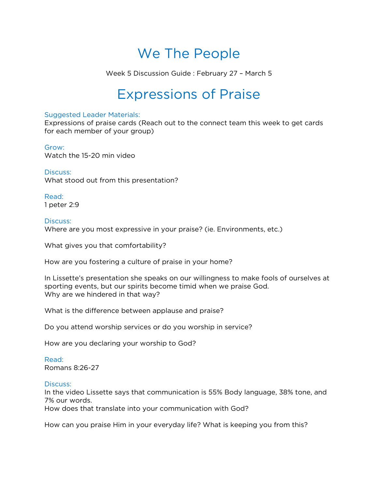# We The People

Week 5 Discussion Guide : February 27 – March 5

# Expressions of Praise

#### Suggested Leader Materials:

Expressions of praise cards (Reach out to the connect team this week to get cards for each member of your group)

### Grow:

Watch the 15-20 min video

#### Discuss:

What stood out from this presentation?

Read: 1 peter 2:9

#### Discuss:

Where are you most expressive in your praise? (ie. Environments, etc.)

What gives you that comfortability?

How are you fostering a culture of praise in your home?

In Lissette's presentation she speaks on our willingness to make fools of ourselves at sporting events, but our spirits become timid when we praise God. Why are we hindered in that way?

What is the difference between applause and praise?

Do you attend worship services or do you worship in service?

How are you declaring your worship to God?

Read: Romans 8:26-27

#### Discuss:

In the video Lissette says that communication is 55% Body language, 38% tone, and 7% our words. How does that translate into your communication with God?

How can you praise Him in your everyday life? What is keeping you from this?